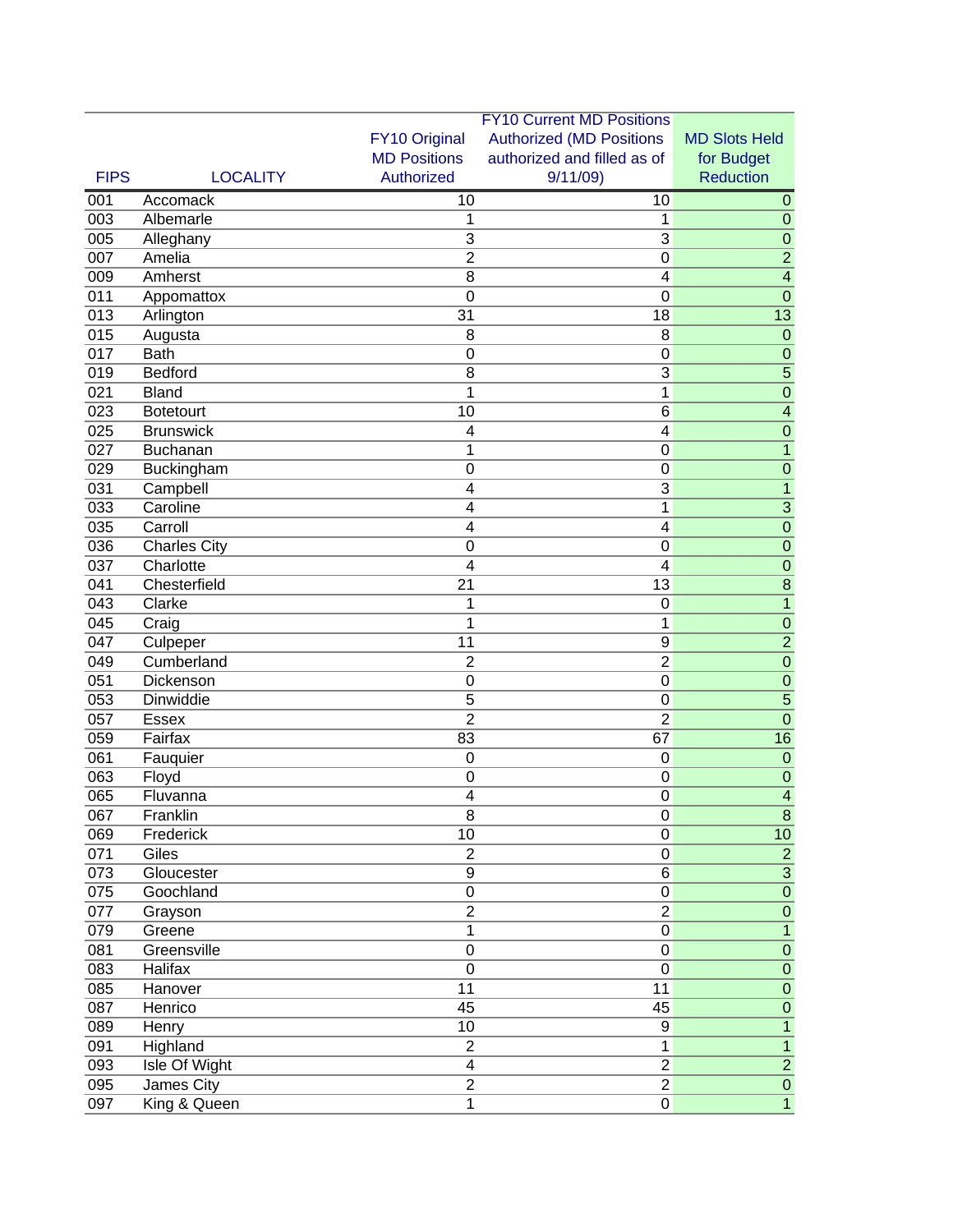| FY10 Original<br><b>Authorized (MD Positions</b><br><b>MD Slots Held</b><br><b>MD Positions</b><br>authorized and filled as of<br>for Budget<br>Authorized<br>9/11/09<br><b>Reduction</b><br><b>FIPS</b><br><b>LOCALITY</b><br>001<br>$\overline{10}$<br>Accomack<br>10<br>$\mathbf{0}$<br>003<br>Albemarle<br>1<br>1<br>$\mathbf 0$<br>005<br>3<br>Alleghany<br>3<br>$\mathbf 0$<br>$\overline{2}$<br>007<br>$\overline{2}$<br>Amelia<br>$\mathbf 0$<br>009<br>Amherst<br>$\overline{\mathcal{A}}$<br>8<br>4<br>011<br>$\mathbf 0$<br>$\mathbf 0$<br>$\mathbf 0$<br>Appomattox<br>013<br>31<br>18<br>13<br>Arlington<br>015<br>8<br>8<br>$\mathbf 0$<br>Augusta<br>017<br><b>Bath</b><br>$\mathbf 0$<br>$\mathbf 0$<br>$\mathbf 0$<br>019<br>8<br>3<br>5<br>Bedford<br>021<br>1<br>1<br><b>Bland</b><br>$\mathbf 0$<br>10<br>6<br>$\overline{\mathcal{A}}$<br>023<br><b>Botetourt</b><br>025<br><b>Brunswick</b><br>$\mathbf 0$<br>$\overline{4}$<br>$\overline{4}$<br>$\mathbf{1}$<br>027<br>1<br>Buchanan<br>$\boldsymbol{0}$<br>$\boldsymbol{0}$<br>$\boldsymbol{0}$<br>$\mathbf 0$<br>029<br>Buckingham<br>$\overline{3}$<br>031<br>$\mathbf{1}$<br>Campbell<br>4<br>$\overline{3}$<br>033<br>Caroline<br>$\overline{\mathbf{4}}$<br>1<br>035<br>$\overline{\mathbf{4}}$<br>$\mathbf 0$<br>Carroll<br>$\overline{4}$<br>036<br>$\mathbf 0$<br><b>Charles City</b><br>$\mathbf 0$<br>$\boldsymbol{0}$<br>037<br>Charlotte<br>4<br>$\overline{4}$<br>$\mathbf 0$<br>041<br>Chesterfield<br>13<br>8<br>21<br>043<br>$\mathbf 0$<br>$\mathbf{1}$<br>Clarke<br>1<br>045<br>1<br>1<br>$\mathbf 0$<br>Craig<br>047<br>$\overline{2}$<br>11<br>$\overline{9}$<br>Culpeper<br>049<br>Cumberland<br>$\overline{2}$<br>$\overline{0}$<br>$\overline{2}$<br>051<br>Dickenson<br>$\mathbf 0$<br>$\mathbf 0$<br>$\mathbf 0$<br>053<br>Dinwiddie<br>5<br>5<br>0<br>$\overline{2}$<br>$\overline{2}$<br>057<br>$\mathbf 0$<br><b>Essex</b><br>059<br>Fairfax<br>83<br>67<br>16<br>061<br>Fauquier<br>$\mathbf 0$<br>$\mathbf 0$<br>$\mathbf 0$<br>063<br>$\boldsymbol{0}$<br>$\mathbf 0$<br>$\mathbf 0$<br>Floyd<br>065<br>Fluvanna<br>$\overline{4}$<br>$\boldsymbol{0}$<br>$\overline{\mathcal{A}}$<br>067<br>Franklin<br>8<br>0<br>8<br>10<br>069<br>10<br>$\mathbf 0$<br>Frederick<br>$\overline{2}$<br>$\overline{2}$<br>071<br>Giles<br>$\pmb{0}$<br>6<br>$\sqrt{3}$<br>073<br>Gloucester<br>9<br>075<br>Goochland<br>$\pmb{0}$<br>$\mathbf 0$<br>$\pmb{0}$<br>$\overline{2}$<br>$\sqrt{2}$<br>077<br>$\pmb{0}$<br>Grayson<br>$\overline{0}$<br>079<br>$\mathbf{1}$<br>Greene<br>$\mathbf{1}$<br>081<br>$\mathbf 0$<br>Greensville<br>$\boldsymbol{0}$<br>$\pmb{0}$<br>083<br><b>Halifax</b><br>$\mathbf 0$<br>$\mathbf 0$<br>$\pmb{0}$<br>085<br>11<br>Hanover<br>11<br>$\pmb{0}$<br>087<br>45<br>45<br>Henrico<br>$\pmb{0}$<br>10<br>$\boldsymbol{9}$<br>089<br>$\mathbf{1}$<br>Henry<br>091<br>Highland<br>$\mathbf{1}$<br>$\overline{1}$<br>$\mathbf{2}$<br>$\overline{2}$<br>093<br>Isle Of Wight<br>$\overline{\mathbf{4}}$<br>$\overline{2}$<br>$\overline{2}$<br>095<br>James City<br>$\overline{c}$<br>$\pmb{0}$<br>097<br>1<br>$\overline{0}$<br>$\overline{1}$<br>King & Queen |  | <b>FY10 Current MD Positions</b> |  |  |
|--------------------------------------------------------------------------------------------------------------------------------------------------------------------------------------------------------------------------------------------------------------------------------------------------------------------------------------------------------------------------------------------------------------------------------------------------------------------------------------------------------------------------------------------------------------------------------------------------------------------------------------------------------------------------------------------------------------------------------------------------------------------------------------------------------------------------------------------------------------------------------------------------------------------------------------------------------------------------------------------------------------------------------------------------------------------------------------------------------------------------------------------------------------------------------------------------------------------------------------------------------------------------------------------------------------------------------------------------------------------------------------------------------------------------------------------------------------------------------------------------------------------------------------------------------------------------------------------------------------------------------------------------------------------------------------------------------------------------------------------------------------------------------------------------------------------------------------------------------------------------------------------------------------------------------------------------------------------------------------------------------------------------------------------------------------------------------------------------------------------------------------------------------------------------------------------------------------------------------------------------------------------------------------------------------------------------------------------------------------------------------------------------------------------------------------------------------------------------------------------------------------------------------------------------------------------------------------------------------------------------------------------------------------------------------------------------------------------------------------------------------------------------------------------------------------------------------------------------------------------------------------------------------------------------------------------------------------------------------------------------------------------------------------------------------------------------------------------------------------------------------------------------------------------------------------|--|----------------------------------|--|--|
|                                                                                                                                                                                                                                                                                                                                                                                                                                                                                                                                                                                                                                                                                                                                                                                                                                                                                                                                                                                                                                                                                                                                                                                                                                                                                                                                                                                                                                                                                                                                                                                                                                                                                                                                                                                                                                                                                                                                                                                                                                                                                                                                                                                                                                                                                                                                                                                                                                                                                                                                                                                                                                                                                                                                                                                                                                                                                                                                                                                                                                                                                                                                                                                      |  |                                  |  |  |
|                                                                                                                                                                                                                                                                                                                                                                                                                                                                                                                                                                                                                                                                                                                                                                                                                                                                                                                                                                                                                                                                                                                                                                                                                                                                                                                                                                                                                                                                                                                                                                                                                                                                                                                                                                                                                                                                                                                                                                                                                                                                                                                                                                                                                                                                                                                                                                                                                                                                                                                                                                                                                                                                                                                                                                                                                                                                                                                                                                                                                                                                                                                                                                                      |  |                                  |  |  |
|                                                                                                                                                                                                                                                                                                                                                                                                                                                                                                                                                                                                                                                                                                                                                                                                                                                                                                                                                                                                                                                                                                                                                                                                                                                                                                                                                                                                                                                                                                                                                                                                                                                                                                                                                                                                                                                                                                                                                                                                                                                                                                                                                                                                                                                                                                                                                                                                                                                                                                                                                                                                                                                                                                                                                                                                                                                                                                                                                                                                                                                                                                                                                                                      |  |                                  |  |  |
|                                                                                                                                                                                                                                                                                                                                                                                                                                                                                                                                                                                                                                                                                                                                                                                                                                                                                                                                                                                                                                                                                                                                                                                                                                                                                                                                                                                                                                                                                                                                                                                                                                                                                                                                                                                                                                                                                                                                                                                                                                                                                                                                                                                                                                                                                                                                                                                                                                                                                                                                                                                                                                                                                                                                                                                                                                                                                                                                                                                                                                                                                                                                                                                      |  |                                  |  |  |
|                                                                                                                                                                                                                                                                                                                                                                                                                                                                                                                                                                                                                                                                                                                                                                                                                                                                                                                                                                                                                                                                                                                                                                                                                                                                                                                                                                                                                                                                                                                                                                                                                                                                                                                                                                                                                                                                                                                                                                                                                                                                                                                                                                                                                                                                                                                                                                                                                                                                                                                                                                                                                                                                                                                                                                                                                                                                                                                                                                                                                                                                                                                                                                                      |  |                                  |  |  |
|                                                                                                                                                                                                                                                                                                                                                                                                                                                                                                                                                                                                                                                                                                                                                                                                                                                                                                                                                                                                                                                                                                                                                                                                                                                                                                                                                                                                                                                                                                                                                                                                                                                                                                                                                                                                                                                                                                                                                                                                                                                                                                                                                                                                                                                                                                                                                                                                                                                                                                                                                                                                                                                                                                                                                                                                                                                                                                                                                                                                                                                                                                                                                                                      |  |                                  |  |  |
|                                                                                                                                                                                                                                                                                                                                                                                                                                                                                                                                                                                                                                                                                                                                                                                                                                                                                                                                                                                                                                                                                                                                                                                                                                                                                                                                                                                                                                                                                                                                                                                                                                                                                                                                                                                                                                                                                                                                                                                                                                                                                                                                                                                                                                                                                                                                                                                                                                                                                                                                                                                                                                                                                                                                                                                                                                                                                                                                                                                                                                                                                                                                                                                      |  |                                  |  |  |
|                                                                                                                                                                                                                                                                                                                                                                                                                                                                                                                                                                                                                                                                                                                                                                                                                                                                                                                                                                                                                                                                                                                                                                                                                                                                                                                                                                                                                                                                                                                                                                                                                                                                                                                                                                                                                                                                                                                                                                                                                                                                                                                                                                                                                                                                                                                                                                                                                                                                                                                                                                                                                                                                                                                                                                                                                                                                                                                                                                                                                                                                                                                                                                                      |  |                                  |  |  |
|                                                                                                                                                                                                                                                                                                                                                                                                                                                                                                                                                                                                                                                                                                                                                                                                                                                                                                                                                                                                                                                                                                                                                                                                                                                                                                                                                                                                                                                                                                                                                                                                                                                                                                                                                                                                                                                                                                                                                                                                                                                                                                                                                                                                                                                                                                                                                                                                                                                                                                                                                                                                                                                                                                                                                                                                                                                                                                                                                                                                                                                                                                                                                                                      |  |                                  |  |  |
|                                                                                                                                                                                                                                                                                                                                                                                                                                                                                                                                                                                                                                                                                                                                                                                                                                                                                                                                                                                                                                                                                                                                                                                                                                                                                                                                                                                                                                                                                                                                                                                                                                                                                                                                                                                                                                                                                                                                                                                                                                                                                                                                                                                                                                                                                                                                                                                                                                                                                                                                                                                                                                                                                                                                                                                                                                                                                                                                                                                                                                                                                                                                                                                      |  |                                  |  |  |
|                                                                                                                                                                                                                                                                                                                                                                                                                                                                                                                                                                                                                                                                                                                                                                                                                                                                                                                                                                                                                                                                                                                                                                                                                                                                                                                                                                                                                                                                                                                                                                                                                                                                                                                                                                                                                                                                                                                                                                                                                                                                                                                                                                                                                                                                                                                                                                                                                                                                                                                                                                                                                                                                                                                                                                                                                                                                                                                                                                                                                                                                                                                                                                                      |  |                                  |  |  |
|                                                                                                                                                                                                                                                                                                                                                                                                                                                                                                                                                                                                                                                                                                                                                                                                                                                                                                                                                                                                                                                                                                                                                                                                                                                                                                                                                                                                                                                                                                                                                                                                                                                                                                                                                                                                                                                                                                                                                                                                                                                                                                                                                                                                                                                                                                                                                                                                                                                                                                                                                                                                                                                                                                                                                                                                                                                                                                                                                                                                                                                                                                                                                                                      |  |                                  |  |  |
|                                                                                                                                                                                                                                                                                                                                                                                                                                                                                                                                                                                                                                                                                                                                                                                                                                                                                                                                                                                                                                                                                                                                                                                                                                                                                                                                                                                                                                                                                                                                                                                                                                                                                                                                                                                                                                                                                                                                                                                                                                                                                                                                                                                                                                                                                                                                                                                                                                                                                                                                                                                                                                                                                                                                                                                                                                                                                                                                                                                                                                                                                                                                                                                      |  |                                  |  |  |
|                                                                                                                                                                                                                                                                                                                                                                                                                                                                                                                                                                                                                                                                                                                                                                                                                                                                                                                                                                                                                                                                                                                                                                                                                                                                                                                                                                                                                                                                                                                                                                                                                                                                                                                                                                                                                                                                                                                                                                                                                                                                                                                                                                                                                                                                                                                                                                                                                                                                                                                                                                                                                                                                                                                                                                                                                                                                                                                                                                                                                                                                                                                                                                                      |  |                                  |  |  |
|                                                                                                                                                                                                                                                                                                                                                                                                                                                                                                                                                                                                                                                                                                                                                                                                                                                                                                                                                                                                                                                                                                                                                                                                                                                                                                                                                                                                                                                                                                                                                                                                                                                                                                                                                                                                                                                                                                                                                                                                                                                                                                                                                                                                                                                                                                                                                                                                                                                                                                                                                                                                                                                                                                                                                                                                                                                                                                                                                                                                                                                                                                                                                                                      |  |                                  |  |  |
|                                                                                                                                                                                                                                                                                                                                                                                                                                                                                                                                                                                                                                                                                                                                                                                                                                                                                                                                                                                                                                                                                                                                                                                                                                                                                                                                                                                                                                                                                                                                                                                                                                                                                                                                                                                                                                                                                                                                                                                                                                                                                                                                                                                                                                                                                                                                                                                                                                                                                                                                                                                                                                                                                                                                                                                                                                                                                                                                                                                                                                                                                                                                                                                      |  |                                  |  |  |
|                                                                                                                                                                                                                                                                                                                                                                                                                                                                                                                                                                                                                                                                                                                                                                                                                                                                                                                                                                                                                                                                                                                                                                                                                                                                                                                                                                                                                                                                                                                                                                                                                                                                                                                                                                                                                                                                                                                                                                                                                                                                                                                                                                                                                                                                                                                                                                                                                                                                                                                                                                                                                                                                                                                                                                                                                                                                                                                                                                                                                                                                                                                                                                                      |  |                                  |  |  |
|                                                                                                                                                                                                                                                                                                                                                                                                                                                                                                                                                                                                                                                                                                                                                                                                                                                                                                                                                                                                                                                                                                                                                                                                                                                                                                                                                                                                                                                                                                                                                                                                                                                                                                                                                                                                                                                                                                                                                                                                                                                                                                                                                                                                                                                                                                                                                                                                                                                                                                                                                                                                                                                                                                                                                                                                                                                                                                                                                                                                                                                                                                                                                                                      |  |                                  |  |  |
|                                                                                                                                                                                                                                                                                                                                                                                                                                                                                                                                                                                                                                                                                                                                                                                                                                                                                                                                                                                                                                                                                                                                                                                                                                                                                                                                                                                                                                                                                                                                                                                                                                                                                                                                                                                                                                                                                                                                                                                                                                                                                                                                                                                                                                                                                                                                                                                                                                                                                                                                                                                                                                                                                                                                                                                                                                                                                                                                                                                                                                                                                                                                                                                      |  |                                  |  |  |
|                                                                                                                                                                                                                                                                                                                                                                                                                                                                                                                                                                                                                                                                                                                                                                                                                                                                                                                                                                                                                                                                                                                                                                                                                                                                                                                                                                                                                                                                                                                                                                                                                                                                                                                                                                                                                                                                                                                                                                                                                                                                                                                                                                                                                                                                                                                                                                                                                                                                                                                                                                                                                                                                                                                                                                                                                                                                                                                                                                                                                                                                                                                                                                                      |  |                                  |  |  |
|                                                                                                                                                                                                                                                                                                                                                                                                                                                                                                                                                                                                                                                                                                                                                                                                                                                                                                                                                                                                                                                                                                                                                                                                                                                                                                                                                                                                                                                                                                                                                                                                                                                                                                                                                                                                                                                                                                                                                                                                                                                                                                                                                                                                                                                                                                                                                                                                                                                                                                                                                                                                                                                                                                                                                                                                                                                                                                                                                                                                                                                                                                                                                                                      |  |                                  |  |  |
|                                                                                                                                                                                                                                                                                                                                                                                                                                                                                                                                                                                                                                                                                                                                                                                                                                                                                                                                                                                                                                                                                                                                                                                                                                                                                                                                                                                                                                                                                                                                                                                                                                                                                                                                                                                                                                                                                                                                                                                                                                                                                                                                                                                                                                                                                                                                                                                                                                                                                                                                                                                                                                                                                                                                                                                                                                                                                                                                                                                                                                                                                                                                                                                      |  |                                  |  |  |
|                                                                                                                                                                                                                                                                                                                                                                                                                                                                                                                                                                                                                                                                                                                                                                                                                                                                                                                                                                                                                                                                                                                                                                                                                                                                                                                                                                                                                                                                                                                                                                                                                                                                                                                                                                                                                                                                                                                                                                                                                                                                                                                                                                                                                                                                                                                                                                                                                                                                                                                                                                                                                                                                                                                                                                                                                                                                                                                                                                                                                                                                                                                                                                                      |  |                                  |  |  |
|                                                                                                                                                                                                                                                                                                                                                                                                                                                                                                                                                                                                                                                                                                                                                                                                                                                                                                                                                                                                                                                                                                                                                                                                                                                                                                                                                                                                                                                                                                                                                                                                                                                                                                                                                                                                                                                                                                                                                                                                                                                                                                                                                                                                                                                                                                                                                                                                                                                                                                                                                                                                                                                                                                                                                                                                                                                                                                                                                                                                                                                                                                                                                                                      |  |                                  |  |  |
|                                                                                                                                                                                                                                                                                                                                                                                                                                                                                                                                                                                                                                                                                                                                                                                                                                                                                                                                                                                                                                                                                                                                                                                                                                                                                                                                                                                                                                                                                                                                                                                                                                                                                                                                                                                                                                                                                                                                                                                                                                                                                                                                                                                                                                                                                                                                                                                                                                                                                                                                                                                                                                                                                                                                                                                                                                                                                                                                                                                                                                                                                                                                                                                      |  |                                  |  |  |
|                                                                                                                                                                                                                                                                                                                                                                                                                                                                                                                                                                                                                                                                                                                                                                                                                                                                                                                                                                                                                                                                                                                                                                                                                                                                                                                                                                                                                                                                                                                                                                                                                                                                                                                                                                                                                                                                                                                                                                                                                                                                                                                                                                                                                                                                                                                                                                                                                                                                                                                                                                                                                                                                                                                                                                                                                                                                                                                                                                                                                                                                                                                                                                                      |  |                                  |  |  |
|                                                                                                                                                                                                                                                                                                                                                                                                                                                                                                                                                                                                                                                                                                                                                                                                                                                                                                                                                                                                                                                                                                                                                                                                                                                                                                                                                                                                                                                                                                                                                                                                                                                                                                                                                                                                                                                                                                                                                                                                                                                                                                                                                                                                                                                                                                                                                                                                                                                                                                                                                                                                                                                                                                                                                                                                                                                                                                                                                                                                                                                                                                                                                                                      |  |                                  |  |  |
|                                                                                                                                                                                                                                                                                                                                                                                                                                                                                                                                                                                                                                                                                                                                                                                                                                                                                                                                                                                                                                                                                                                                                                                                                                                                                                                                                                                                                                                                                                                                                                                                                                                                                                                                                                                                                                                                                                                                                                                                                                                                                                                                                                                                                                                                                                                                                                                                                                                                                                                                                                                                                                                                                                                                                                                                                                                                                                                                                                                                                                                                                                                                                                                      |  |                                  |  |  |
|                                                                                                                                                                                                                                                                                                                                                                                                                                                                                                                                                                                                                                                                                                                                                                                                                                                                                                                                                                                                                                                                                                                                                                                                                                                                                                                                                                                                                                                                                                                                                                                                                                                                                                                                                                                                                                                                                                                                                                                                                                                                                                                                                                                                                                                                                                                                                                                                                                                                                                                                                                                                                                                                                                                                                                                                                                                                                                                                                                                                                                                                                                                                                                                      |  |                                  |  |  |
|                                                                                                                                                                                                                                                                                                                                                                                                                                                                                                                                                                                                                                                                                                                                                                                                                                                                                                                                                                                                                                                                                                                                                                                                                                                                                                                                                                                                                                                                                                                                                                                                                                                                                                                                                                                                                                                                                                                                                                                                                                                                                                                                                                                                                                                                                                                                                                                                                                                                                                                                                                                                                                                                                                                                                                                                                                                                                                                                                                                                                                                                                                                                                                                      |  |                                  |  |  |
|                                                                                                                                                                                                                                                                                                                                                                                                                                                                                                                                                                                                                                                                                                                                                                                                                                                                                                                                                                                                                                                                                                                                                                                                                                                                                                                                                                                                                                                                                                                                                                                                                                                                                                                                                                                                                                                                                                                                                                                                                                                                                                                                                                                                                                                                                                                                                                                                                                                                                                                                                                                                                                                                                                                                                                                                                                                                                                                                                                                                                                                                                                                                                                                      |  |                                  |  |  |
|                                                                                                                                                                                                                                                                                                                                                                                                                                                                                                                                                                                                                                                                                                                                                                                                                                                                                                                                                                                                                                                                                                                                                                                                                                                                                                                                                                                                                                                                                                                                                                                                                                                                                                                                                                                                                                                                                                                                                                                                                                                                                                                                                                                                                                                                                                                                                                                                                                                                                                                                                                                                                                                                                                                                                                                                                                                                                                                                                                                                                                                                                                                                                                                      |  |                                  |  |  |
|                                                                                                                                                                                                                                                                                                                                                                                                                                                                                                                                                                                                                                                                                                                                                                                                                                                                                                                                                                                                                                                                                                                                                                                                                                                                                                                                                                                                                                                                                                                                                                                                                                                                                                                                                                                                                                                                                                                                                                                                                                                                                                                                                                                                                                                                                                                                                                                                                                                                                                                                                                                                                                                                                                                                                                                                                                                                                                                                                                                                                                                                                                                                                                                      |  |                                  |  |  |
|                                                                                                                                                                                                                                                                                                                                                                                                                                                                                                                                                                                                                                                                                                                                                                                                                                                                                                                                                                                                                                                                                                                                                                                                                                                                                                                                                                                                                                                                                                                                                                                                                                                                                                                                                                                                                                                                                                                                                                                                                                                                                                                                                                                                                                                                                                                                                                                                                                                                                                                                                                                                                                                                                                                                                                                                                                                                                                                                                                                                                                                                                                                                                                                      |  |                                  |  |  |
|                                                                                                                                                                                                                                                                                                                                                                                                                                                                                                                                                                                                                                                                                                                                                                                                                                                                                                                                                                                                                                                                                                                                                                                                                                                                                                                                                                                                                                                                                                                                                                                                                                                                                                                                                                                                                                                                                                                                                                                                                                                                                                                                                                                                                                                                                                                                                                                                                                                                                                                                                                                                                                                                                                                                                                                                                                                                                                                                                                                                                                                                                                                                                                                      |  |                                  |  |  |
|                                                                                                                                                                                                                                                                                                                                                                                                                                                                                                                                                                                                                                                                                                                                                                                                                                                                                                                                                                                                                                                                                                                                                                                                                                                                                                                                                                                                                                                                                                                                                                                                                                                                                                                                                                                                                                                                                                                                                                                                                                                                                                                                                                                                                                                                                                                                                                                                                                                                                                                                                                                                                                                                                                                                                                                                                                                                                                                                                                                                                                                                                                                                                                                      |  |                                  |  |  |
|                                                                                                                                                                                                                                                                                                                                                                                                                                                                                                                                                                                                                                                                                                                                                                                                                                                                                                                                                                                                                                                                                                                                                                                                                                                                                                                                                                                                                                                                                                                                                                                                                                                                                                                                                                                                                                                                                                                                                                                                                                                                                                                                                                                                                                                                                                                                                                                                                                                                                                                                                                                                                                                                                                                                                                                                                                                                                                                                                                                                                                                                                                                                                                                      |  |                                  |  |  |
|                                                                                                                                                                                                                                                                                                                                                                                                                                                                                                                                                                                                                                                                                                                                                                                                                                                                                                                                                                                                                                                                                                                                                                                                                                                                                                                                                                                                                                                                                                                                                                                                                                                                                                                                                                                                                                                                                                                                                                                                                                                                                                                                                                                                                                                                                                                                                                                                                                                                                                                                                                                                                                                                                                                                                                                                                                                                                                                                                                                                                                                                                                                                                                                      |  |                                  |  |  |
|                                                                                                                                                                                                                                                                                                                                                                                                                                                                                                                                                                                                                                                                                                                                                                                                                                                                                                                                                                                                                                                                                                                                                                                                                                                                                                                                                                                                                                                                                                                                                                                                                                                                                                                                                                                                                                                                                                                                                                                                                                                                                                                                                                                                                                                                                                                                                                                                                                                                                                                                                                                                                                                                                                                                                                                                                                                                                                                                                                                                                                                                                                                                                                                      |  |                                  |  |  |
|                                                                                                                                                                                                                                                                                                                                                                                                                                                                                                                                                                                                                                                                                                                                                                                                                                                                                                                                                                                                                                                                                                                                                                                                                                                                                                                                                                                                                                                                                                                                                                                                                                                                                                                                                                                                                                                                                                                                                                                                                                                                                                                                                                                                                                                                                                                                                                                                                                                                                                                                                                                                                                                                                                                                                                                                                                                                                                                                                                                                                                                                                                                                                                                      |  |                                  |  |  |
|                                                                                                                                                                                                                                                                                                                                                                                                                                                                                                                                                                                                                                                                                                                                                                                                                                                                                                                                                                                                                                                                                                                                                                                                                                                                                                                                                                                                                                                                                                                                                                                                                                                                                                                                                                                                                                                                                                                                                                                                                                                                                                                                                                                                                                                                                                                                                                                                                                                                                                                                                                                                                                                                                                                                                                                                                                                                                                                                                                                                                                                                                                                                                                                      |  |                                  |  |  |
|                                                                                                                                                                                                                                                                                                                                                                                                                                                                                                                                                                                                                                                                                                                                                                                                                                                                                                                                                                                                                                                                                                                                                                                                                                                                                                                                                                                                                                                                                                                                                                                                                                                                                                                                                                                                                                                                                                                                                                                                                                                                                                                                                                                                                                                                                                                                                                                                                                                                                                                                                                                                                                                                                                                                                                                                                                                                                                                                                                                                                                                                                                                                                                                      |  |                                  |  |  |
|                                                                                                                                                                                                                                                                                                                                                                                                                                                                                                                                                                                                                                                                                                                                                                                                                                                                                                                                                                                                                                                                                                                                                                                                                                                                                                                                                                                                                                                                                                                                                                                                                                                                                                                                                                                                                                                                                                                                                                                                                                                                                                                                                                                                                                                                                                                                                                                                                                                                                                                                                                                                                                                                                                                                                                                                                                                                                                                                                                                                                                                                                                                                                                                      |  |                                  |  |  |
|                                                                                                                                                                                                                                                                                                                                                                                                                                                                                                                                                                                                                                                                                                                                                                                                                                                                                                                                                                                                                                                                                                                                                                                                                                                                                                                                                                                                                                                                                                                                                                                                                                                                                                                                                                                                                                                                                                                                                                                                                                                                                                                                                                                                                                                                                                                                                                                                                                                                                                                                                                                                                                                                                                                                                                                                                                                                                                                                                                                                                                                                                                                                                                                      |  |                                  |  |  |
|                                                                                                                                                                                                                                                                                                                                                                                                                                                                                                                                                                                                                                                                                                                                                                                                                                                                                                                                                                                                                                                                                                                                                                                                                                                                                                                                                                                                                                                                                                                                                                                                                                                                                                                                                                                                                                                                                                                                                                                                                                                                                                                                                                                                                                                                                                                                                                                                                                                                                                                                                                                                                                                                                                                                                                                                                                                                                                                                                                                                                                                                                                                                                                                      |  |                                  |  |  |
|                                                                                                                                                                                                                                                                                                                                                                                                                                                                                                                                                                                                                                                                                                                                                                                                                                                                                                                                                                                                                                                                                                                                                                                                                                                                                                                                                                                                                                                                                                                                                                                                                                                                                                                                                                                                                                                                                                                                                                                                                                                                                                                                                                                                                                                                                                                                                                                                                                                                                                                                                                                                                                                                                                                                                                                                                                                                                                                                                                                                                                                                                                                                                                                      |  |                                  |  |  |
|                                                                                                                                                                                                                                                                                                                                                                                                                                                                                                                                                                                                                                                                                                                                                                                                                                                                                                                                                                                                                                                                                                                                                                                                                                                                                                                                                                                                                                                                                                                                                                                                                                                                                                                                                                                                                                                                                                                                                                                                                                                                                                                                                                                                                                                                                                                                                                                                                                                                                                                                                                                                                                                                                                                                                                                                                                                                                                                                                                                                                                                                                                                                                                                      |  |                                  |  |  |
|                                                                                                                                                                                                                                                                                                                                                                                                                                                                                                                                                                                                                                                                                                                                                                                                                                                                                                                                                                                                                                                                                                                                                                                                                                                                                                                                                                                                                                                                                                                                                                                                                                                                                                                                                                                                                                                                                                                                                                                                                                                                                                                                                                                                                                                                                                                                                                                                                                                                                                                                                                                                                                                                                                                                                                                                                                                                                                                                                                                                                                                                                                                                                                                      |  |                                  |  |  |
|                                                                                                                                                                                                                                                                                                                                                                                                                                                                                                                                                                                                                                                                                                                                                                                                                                                                                                                                                                                                                                                                                                                                                                                                                                                                                                                                                                                                                                                                                                                                                                                                                                                                                                                                                                                                                                                                                                                                                                                                                                                                                                                                                                                                                                                                                                                                                                                                                                                                                                                                                                                                                                                                                                                                                                                                                                                                                                                                                                                                                                                                                                                                                                                      |  |                                  |  |  |
|                                                                                                                                                                                                                                                                                                                                                                                                                                                                                                                                                                                                                                                                                                                                                                                                                                                                                                                                                                                                                                                                                                                                                                                                                                                                                                                                                                                                                                                                                                                                                                                                                                                                                                                                                                                                                                                                                                                                                                                                                                                                                                                                                                                                                                                                                                                                                                                                                                                                                                                                                                                                                                                                                                                                                                                                                                                                                                                                                                                                                                                                                                                                                                                      |  |                                  |  |  |
|                                                                                                                                                                                                                                                                                                                                                                                                                                                                                                                                                                                                                                                                                                                                                                                                                                                                                                                                                                                                                                                                                                                                                                                                                                                                                                                                                                                                                                                                                                                                                                                                                                                                                                                                                                                                                                                                                                                                                                                                                                                                                                                                                                                                                                                                                                                                                                                                                                                                                                                                                                                                                                                                                                                                                                                                                                                                                                                                                                                                                                                                                                                                                                                      |  |                                  |  |  |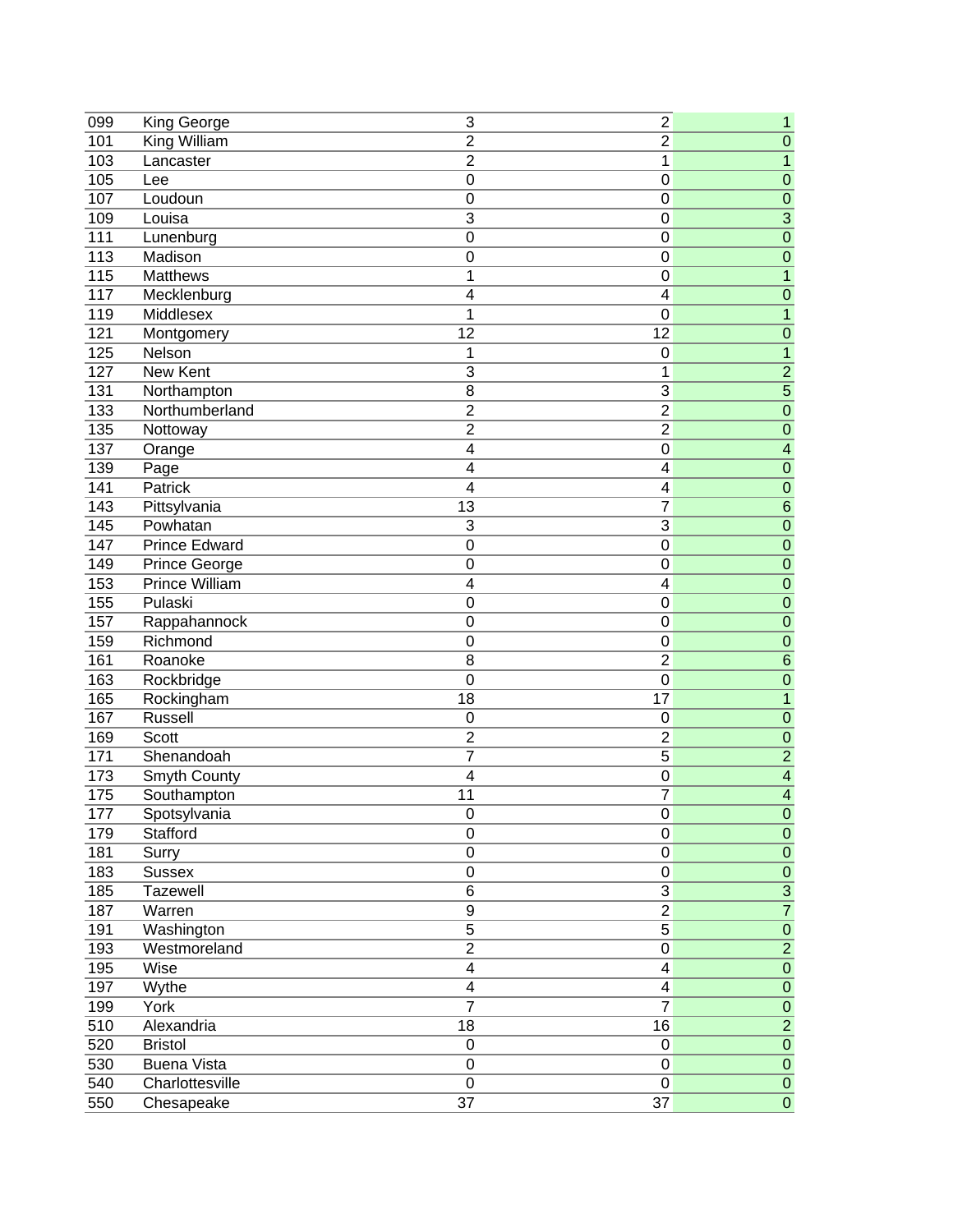| 099 | King George          | 3                       | 2                       | 1                        |
|-----|----------------------|-------------------------|-------------------------|--------------------------|
| 101 | King William         | $\overline{2}$          | $\overline{2}$          | $\overline{0}$           |
| 103 | Lancaster            | $\overline{2}$          | 1                       | $\overline{1}$           |
| 105 | Lee                  | $\mathbf 0$             | 0                       | $\overline{0}$           |
| 107 | Loudoun              | $\mathbf 0$             | $\boldsymbol{0}$        | $\overline{0}$           |
| 109 | Louisa               | $\overline{3}$          | $\boldsymbol{0}$        | $\overline{3}$           |
| 111 | Lunenburg            | 0                       | $\mathbf 0$             | $\overline{0}$           |
| 113 | Madison              | $\mathbf 0$             | $\boldsymbol{0}$        | $\overline{0}$           |
| 115 | <b>Matthews</b>      | 1                       | $\mathbf 0$             | $\overline{1}$           |
| 117 | Mecklenburg          | $\overline{4}$          | 4                       | $\overline{0}$           |
| 119 | Middlesex            | 1                       | $\mathbf 0$             | $\overline{1}$           |
| 121 | Montgomery           | 12                      | 12                      | $\mathbf 0$              |
| 125 | Nelson               | 1                       | $\mathbf 0$             | $\mathbf{1}$             |
| 127 | New Kent             | 3                       | 1                       | $\overline{2}$           |
| 131 | Northampton          | 8                       | 3                       | $\overline{5}$           |
| 133 | Northumberland       | $\overline{2}$          | $\overline{2}$          | $\overline{0}$           |
| 135 | Nottoway             | $\overline{2}$          | $\overline{2}$          | $\overline{0}$           |
| 137 | Orange               | $\overline{\mathbf{4}}$ | 0                       | $\overline{\mathbf{4}}$  |
| 139 | Page                 | $\overline{\mathbf{4}}$ | 4                       | $\overline{0}$           |
| 141 | <b>Patrick</b>       | $\overline{4}$          | 4                       | $\mathbf 0$              |
| 143 | Pittsylvania         | 13                      | $\overline{7}$          | $\overline{6}$           |
| 145 | Powhatan             | 3                       | 3                       | $\overline{0}$           |
| 147 | <b>Prince Edward</b> | $\mathbf 0$             | $\mathbf 0$             | $\overline{0}$           |
| 149 | Prince George        | $\mathbf 0$             | $\boldsymbol{0}$        | $\overline{0}$           |
| 153 | Prince William       | $\overline{\mathbf{4}}$ | 4                       | $\overline{0}$           |
| 155 | Pulaski              | 0                       | 0                       | $\overline{0}$           |
| 157 | Rappahannock         | $\mathbf 0$             | $\mathbf 0$             | $\overline{0}$           |
| 159 | Richmond             | $\mathbf 0$             | 0                       | $\mathbf 0$              |
| 161 | Roanoke              | $\overline{8}$          | $\overline{2}$          | $\overline{6}$           |
| 163 | Rockbridge           | $\mathbf 0$             | $\overline{0}$          | $\overline{0}$           |
| 165 | Rockingham           | $\overline{18}$         | 17                      | $\overline{1}$           |
| 167 | Russell              | $\mathbf 0$             | 0                       | $\mathbf 0$              |
| 169 | <b>Scott</b>         | $\mathbf 2$             | $\overline{\mathbf{c}}$ | $\mathbf 0$              |
| 171 | Shenandoah           | 7                       | $\overline{5}$          | $\overline{2}$           |
| 173 | <b>Smyth County</b>  | $\overline{4}$          | 0                       | $\overline{4}$           |
| 175 | Southampton          | 11                      | 7                       | $\overline{4}$           |
| 177 | Spotsylvania         | O                       | 0                       | $\overline{0}$           |
| 179 | Stafford             | $\pmb{0}$               | $\mathbf 0$             | $\pmb{0}$                |
| 181 | Surry                | $\pmb{0}$               | $\pmb{0}$               | ${\bf 0}$                |
| 183 | <b>Sussex</b>        | $\pmb{0}$               | 0                       | $\overline{0}$           |
| 185 | Tazewell             | 6                       | 3                       |                          |
| 187 | Warren               | 9                       | $\overline{2}$          | $\frac{3}{7}$            |
| 191 | Washington           | 5                       | 5                       |                          |
| 193 | Westmoreland         | $\overline{2}$          | $\pmb{0}$               | $\frac{\overline{0}}{2}$ |
| 195 | Wise                 | $\overline{\mathbf{4}}$ | 4                       | $\overline{0}$           |
| 197 |                      | 4                       | 4                       | ${\bf 0}$                |
| 199 | Wythe<br>York        | $\overline{7}$          | $\overline{7}$          | ${\bf 0}$                |
| 510 | Alexandria           | $\overline{18}$         | 16                      | $\overline{2}$           |
| 520 | <b>Bristol</b>       | $\pmb{0}$               | $\pmb{0}$               | $\overline{0}$           |
| 530 | <b>Buena Vista</b>   | $\pmb{0}$               | $\pmb{0}$               | $\overline{0}$           |
| 540 | Charlottesville      | $\pmb{0}$               | 0                       | $\overline{0}$           |
|     |                      |                         | $\overline{37}$         | $\overline{0}$           |
| 550 | Chesapeake           | $\overline{37}$         |                         |                          |